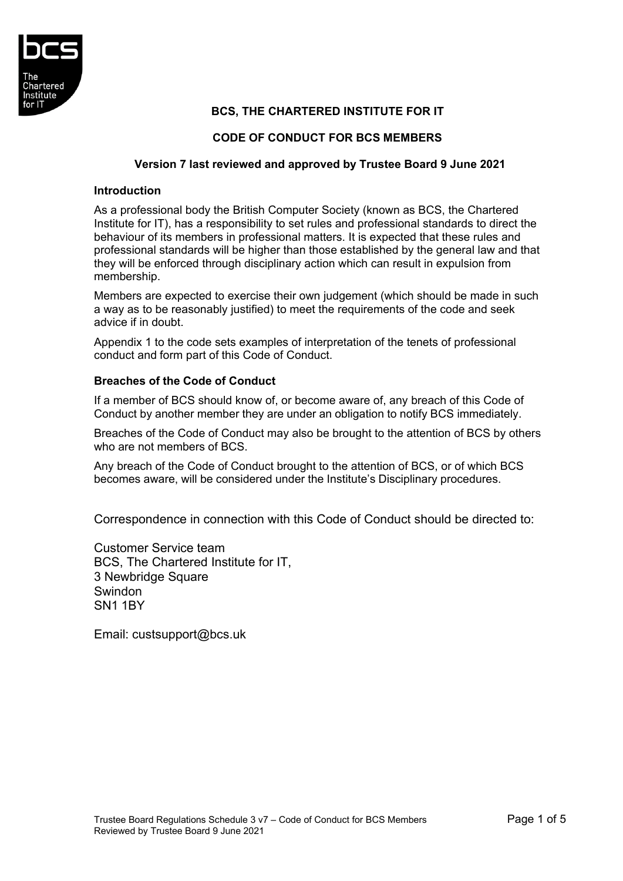

# **BCS, THE CHARTERED INSTITUTE FOR IT**

# **CODE OF CONDUCT FOR BCS MEMBERS**

### **Version 7 last reviewed and approved by Trustee Board 9 June 2021**

#### **Introduction**

As a professional body the British Computer Society (known as BCS, the Chartered Institute for IT), has a responsibility to set rules and professional standards to direct the behaviour of its members in professional matters. It is expected that these rules and professional standards will be higher than those established by the general law and that they will be enforced through disciplinary action which can result in expulsion from membership.

Members are expected to exercise their own judgement (which should be made in such a way as to be reasonably justified) to meet the requirements of the code and seek advice if in doubt.

Appendix 1 to the code sets examples of interpretation of the tenets of professional conduct and form part of this Code of Conduct.

### **Breaches of the Code of Conduct**

If a member of BCS should know of, or become aware of, any breach of this Code of Conduct by another member they are under an obligation to notify BCS immediately.

Breaches of the Code of Conduct may also be brought to the attention of BCS by others who are not members of BCS.

Any breach of the Code of Conduct brought to the attention of BCS, or of which BCS becomes aware, will be considered under the Institute's Disciplinary procedures.

Correspondence in connection with this Code of Conduct should be directed to:

Customer Service team BCS, The Chartered Institute for IT, 3 Newbridge Square Swindon SN1 1BY

Email: [custsupport@bcs.uk](mailto:custsupport@bcs.uk)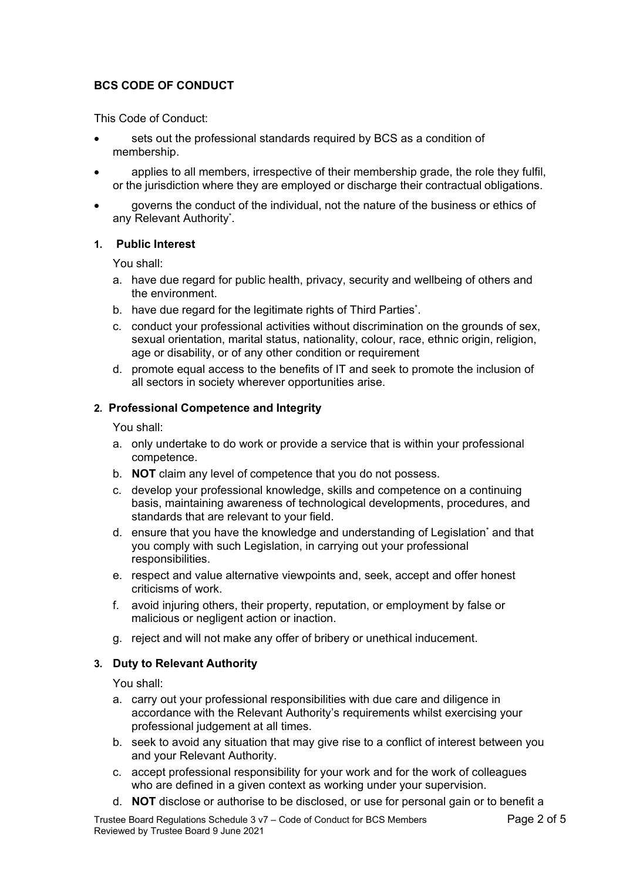# **BCS CODE OF CONDUCT**

This Code of Conduct:

- sets out the professional standards required by BCS as a condition of membership.
- applies to all members, irrespective of their membership grade, the role they fulfil, or the jurisdiction where they are employed or discharge their contractual obligations.
- governs the conduct of the individual, not the nature of the business or ethics of any Relevant Authority\* .

## **1. Public Interest**

You shall:

- a. have due regard for public health, privacy, security and wellbeing of others and the environment.
- b. have due regard for the legitimate rights of Third Parties\* .
- c. conduct your professional activities without discrimination on the grounds of sex, sexual orientation, marital status, nationality, colour, race, ethnic origin, religion, age or disability, or of any other condition or requirement
- d. promote equal access to the benefits of IT and seek to promote the inclusion of all sectors in society wherever opportunities arise.

## **2. Professional Competence and Integrity**

You shall:

- a. only undertake to do work or provide a service that is within your professional competence.
- b. **NOT** claim any level of competence that you do not possess.
- c. develop your professional knowledge, skills and competence on a continuing basis, maintaining awareness of technological developments, procedures, and standards that are relevant to your field.
- d. ensure that you have the knowledge and understanding of Legislation\* and that you comply with such Legislation, in carrying out your professional responsibilities.
- e. respect and value alternative viewpoints and, seek, accept and offer honest criticisms of work.
- f. avoid injuring others, their property, reputation, or employment by false or malicious or negligent action or inaction.
- g. reject and will not make any offer of bribery or unethical inducement.

## **3. Duty to Relevant Authority**

You shall:

- a. carry out your professional responsibilities with due care and diligence in accordance with the Relevant Authority's requirements whilst exercising your professional judgement at all times.
- b. seek to avoid any situation that may give rise to a conflict of interest between you and your Relevant Authority.
- c. accept professional responsibility for your work and for the work of colleagues who are defined in a given context as working under your supervision.
- d. **NOT** disclose or authorise to be disclosed, or use for personal gain or to benefit a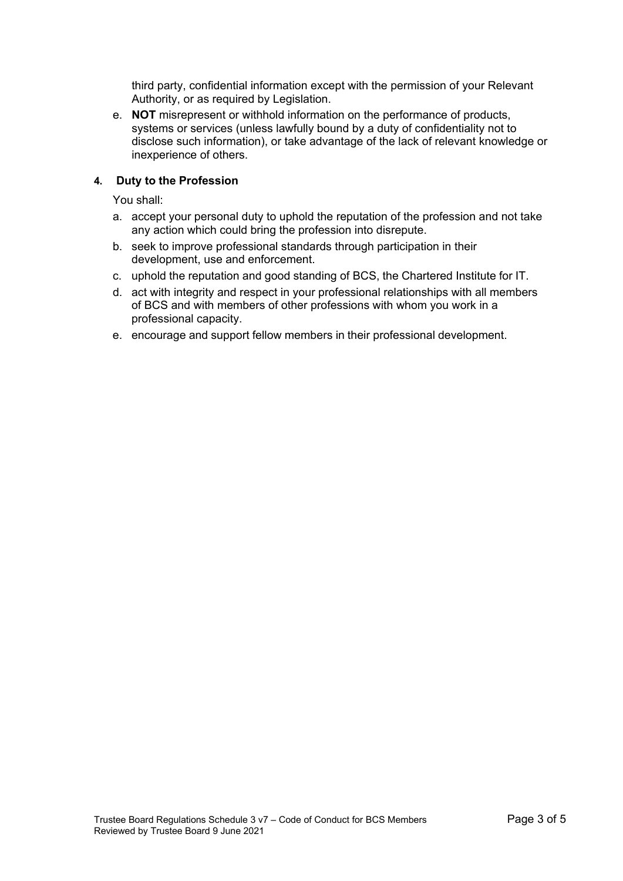third party, confidential information except with the permission of your Relevant Authority, or as required by Legislation.

e. **NOT** misrepresent or withhold information on the performance of products, systems or services (unless lawfully bound by a duty of confidentiality not to disclose such information), or take advantage of the lack of relevant knowledge or inexperience of others.

# **4. Duty to the Profession**

You shall:

- a. accept your personal duty to uphold the reputation of the profession and not take any action which could bring the profession into disrepute.
- b. seek to improve professional standards through participation in their development, use and enforcement.
- c. uphold the reputation and good standing of BCS, the Chartered Institute for IT.
- d. act with integrity and respect in your professional relationships with all members of BCS and with members of other professions with whom you work in a professional capacity.
- e. encourage and support fellow members in their professional development.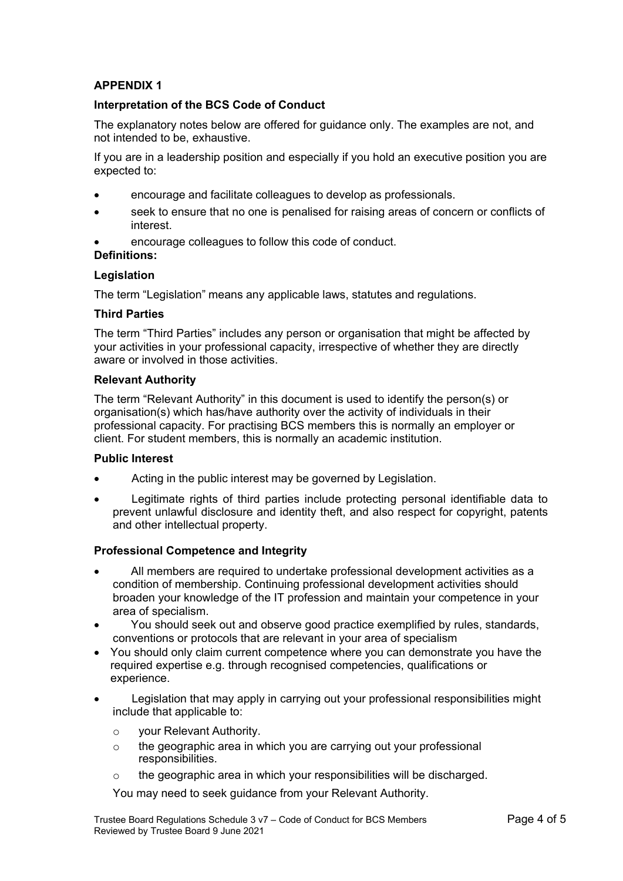# **APPENDIX 1**

### **Interpretation of the BCS Code of Conduct**

The explanatory notes below are offered for guidance only. The examples are not, and not intended to be, exhaustive.

If you are in a leadership position and especially if you hold an executive position you are expected to:

- encourage and facilitate colleagues to develop as professionals.
- seek to ensure that no one is penalised for raising areas of concern or conflicts of interest.
- encourage colleagues to follow this code of conduct.

**Definitions:**

#### **Legislation**

The term "Legislation" means any applicable laws, statutes and regulations.

#### **Third Parties**

The term "Third Parties" includes any person or organisation that might be affected by your activities in your professional capacity, irrespective of whether they are directly aware or involved in those activities.

#### **Relevant Authority**

The term "Relevant Authority" in this document is used to identify the person(s) or organisation(s) which has/have authority over the activity of individuals in their professional capacity. For practising BCS members this is normally an employer or client. For student members, this is normally an academic institution.

#### **Public Interest**

- Acting in the public interest may be governed by Legislation.
- Legitimate rights of third parties include protecting personal identifiable data to prevent unlawful disclosure and identity theft, and also respect for copyright, patents and other intellectual property.

#### **Professional Competence and Integrity**

- All members are required to undertake professional development activities as a condition of membership. Continuing professional development activities should broaden your knowledge of the IT profession and maintain your competence in your area of specialism.
- You should seek out and observe good practice exemplified by rules, standards, conventions or protocols that are relevant in your area of specialism
- You should only claim current competence where you can demonstrate you have the required expertise e.g. through recognised competencies, qualifications or experience.
- Legislation that may apply in carrying out your professional responsibilities might include that applicable to:
	- o your Relevant Authority.
	- o the geographic area in which you are carrying out your professional responsibilities.
	- o the geographic area in which your responsibilities will be discharged.

You may need to seek guidance from your Relevant Authority.